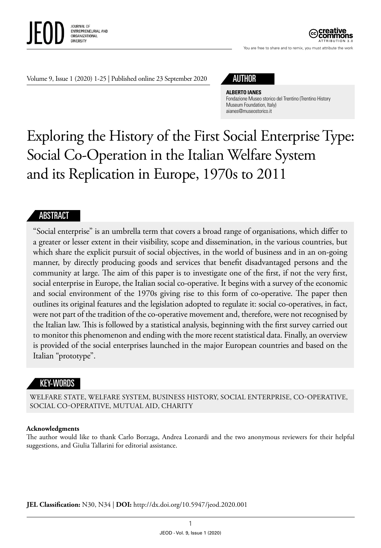

You are free to share and to remix, you must attribute the work ATTRIBUTION 3.0

Volume 9, Issue 1 (2020) 1-25 | Published online 23 September 2020



#### **ALBERTO IANES**

Fondazione Museo storico del Trentino (Trentino History Museum Foundation, Italy) [aianes@museostorico.it](mailto:aianes@museostorico.it)

# Exploring the History of the First Social Enterprise Type: Social Co-Operation in the Italian Welfare System and its Replication in Europe, 1970s to 2011

#### ABSTRACT

"Social enterprise" is an umbrella term that covers a broad range of organisations, which differ to a greater or lesser extent in their visibility, scope and dissemination, in the various countries, but which share the explicit pursuit of social objectives, in the world of business and in an on-going manner, by directly producing goods and services that benefit disadvantaged persons and the community at large. The aim of this paper is to investigate one of the first, if not the very first, social enterprise in Europe, the Italian social co-operative. It begins with a survey of the economic and social environment of the 1970s giving rise to this form of co-operative. The paper then outlines its original features and the legislation adopted to regulate it: social co-operatives, in fact, were not part of the tradition of the co-operative movement and, therefore, were not recognised by the Italian law. This is followed by a statistical analysis, beginning with the first survey carried out to monitor this phenomenon and ending with the more recent statistical data. Finally, an overview is provided of the social enterprises launched in the major European countries and based on the Italian "prototype".

#### KEY-WORDS

WELFARE STATE, WELFARE SYSTEM, BUSINESS HISTORY, SOCIAL ENTERPRISE, CO-OPERATIVE, SOCIAL CO-OPERATIVE, MUTUAL AID, CHARITY

#### **Acknowledgments**

The author would like to thank Carlo Borzaga, Andrea Leonardi and the two anonymous reviewers for their helpful suggestions, and Giulia Tallarini for editorial assistance.

**JEL Classification:** N30, N34 | **DOI:** http:/ /dx.doi.org/10.5947 /jeod.2020.001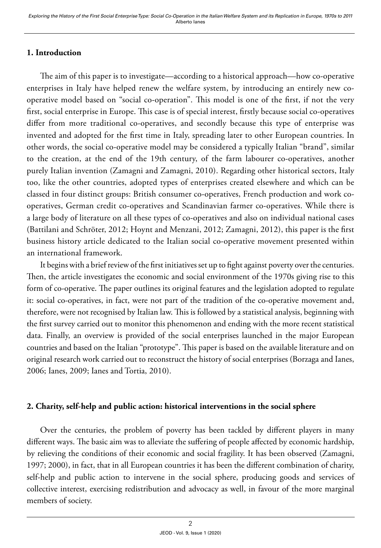### **1. Introduction**

The aim of this paper is to investigate—according to a historical approach—how co-operative enterprises in Italy have helped renew the welfare system, by introducing an entirely new cooperative model based on "social co-operation". This model is one of the first, if not the very first, social enterprise in Europe. This case is of special interest, firstly because social co-operatives differ from more traditional co-operatives, and secondly because this type of enterprise was invented and adopted for the first time in Italy, spreading later to other European countries. In other words, the social co-operative model may be considered a typically Italian "brand", similar to the creation, at the end of the 19th century, of the farm labourer co-operatives, another purely Italian invention (Zamagni and Zamagni, 2010). Regarding other historical sectors, Italy too, like the other countries, adopted types of enterprises created elsewhere and which can be classed in four distinct groups: British consumer co-operatives, French production and work cooperatives, German credit co-operatives and Scandinavian farmer co-operatives. While there is a large body of literature on all these types of co-operatives and also on individual national cases (Battilani and Schröter, 2012; Hoynt and Menzani, 2012; Zamagni, 2012), this paper is the first business history article dedicated to the Italian social co-operative movement presented within an international framework.

It begins with a brief review of the first initiatives set up to fight against poverty over the centuries. Then, the article investigates the economic and social environment of the 1970s giving rise to this form of co-operative. The paper outlines its original features and the legislation adopted to regulate it: social co-operatives, in fact, were not part of the tradition of the co-operative movement and, therefore, were not recognised by Italian law. This is followed by a statistical analysis, beginning with the first survey carried out to monitor this phenomenon and ending with the more recent statistical data. Finally, an overview is provided of the social enterprises launched in the major European countries and based on the Italian "prototype". This paper is based on the available literature and on original research work carried out to reconstruct the history of social enterprises (Borzaga and Ianes, 2006; Ianes, 2009; Ianes and Tortia, 2010).

#### **2. Charity, self-help and public action: historical interventions in the social sphere**

Over the centuries, the problem of poverty has been tackled by different players in many different ways. The basic aim was to alleviate the suffering of people affected by economic hardship, by relieving the conditions of their economic and social fragility. It has been observed (Zamagni, 1997; 2000), in fact, that in all European countries it has been the different combination of charity, self-help and public action to intervene in the social sphere, producing goods and services of collective interest, exercising redistribution and advocacy as well, in favour of the more marginal members of society.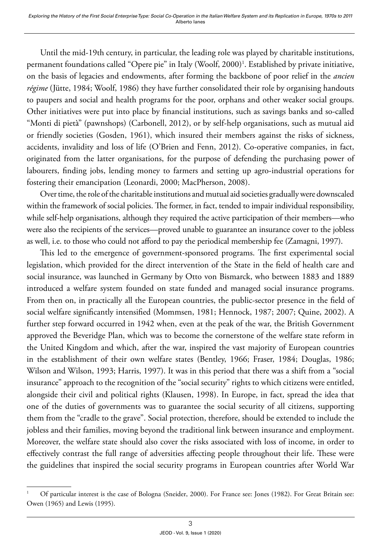Until the mid-19th century, in particular, the leading role was played by charitable institutions, permanent foundations called "Opere pie" in Italy (Woolf, 2000)<sup>1</sup>. Established by private initiative, on the basis of legacies and endowments, after forming the backbone of poor relief in the *ancien régime* (Jütte, 1984; Woolf, 1986) they have further consolidated their role by organising handouts to paupers and social and health programs for the poor, orphans and other weaker social groups. Other initiatives were put into place by financial institutions, such as savings banks and so-called "Monti di pietà" (pawnshops) (Carbonell, 2012), or by self-help organisations, such as mutual aid or friendly societies (Gosden, 1961), which insured their members against the risks of sickness, accidents, invalidity and loss of life (O'Brien and Fenn, 2012). Co-operative companies, in fact, originated from the latter organisations, for the purpose of defending the purchasing power of labourers, finding jobs, lending money to farmers and setting up agro-industrial operations for fostering their emancipation (Leonardi, 2000; MacPherson, 2008).

Over time, the role of the charitable institutions and mutual aid societies gradually were downscaled within the framework of social policies. The former, in fact, tended to impair individual responsibility, while self-help organisations, although they required the active participation of their members—who were also the recipients of the services—proved unable to guarantee an insurance cover to the jobless as well, i.e. to those who could not afford to pay the periodical membership fee (Zamagni, 1997).

This led to the emergence of government-sponsored programs. The first experimental social legislation, which provided for the direct intervention of the State in the field of health care and social insurance, was launched in Germany by Otto von Bismarck, who between 1883 and 1889 introduced a welfare system founded on state funded and managed social insurance programs. From then on, in practically all the European countries, the public-sector presence in the field of social welfare significantly intensified (Mommsen, 1981; Hennock, 1987; 2007; Quine, 2002). A further step forward occurred in 1942 when, even at the peak of the war, the British Government approved the Beveridge Plan, which was to become the cornerstone of the welfare state reform in the United Kingdom and which, after the war, inspired the vast majority of European countries in the establishment of their own welfare states (Bentley, 1966; Fraser, 1984; Douglas, 1986; Wilson and Wilson, 1993; Harris, 1997). It was in this period that there was a shift from a "social insurance" approach to the recognition of the "social security" rights to which citizens were entitled, alongside their civil and political rights (Klausen, 1998). In Europe, in fact, spread the idea that one of the duties of governments was to guarantee the social security of all citizens, supporting them from the "cradle to the grave". Social protection, therefore, should be extended to include the jobless and their families, moving beyond the traditional link between insurance and employment. Moreover, the welfare state should also cover the risks associated with loss of income, in order to effectively contrast the full range of adversities affecting people throughout their life. These were the guidelines that inspired the social security programs in European countries after World War

<sup>1</sup> Of particular interest is the case of Bologna (Sneider, 2000). For France see: Jones (1982). For Great Britain see: Owen (1965) and Lewis (1995).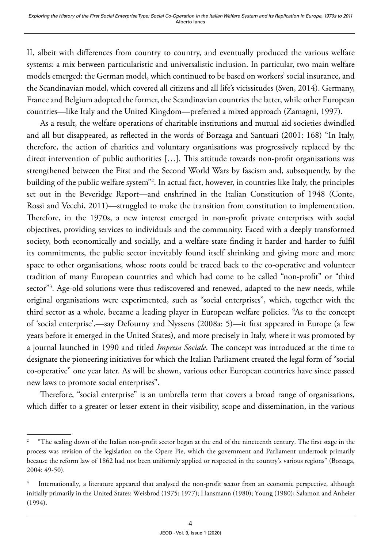II, albeit with differences from country to country, and eventually produced the various welfare systems: a mix between particularistic and universalistic inclusion. In particular, two main welfare models emerged: the German model, which continued to be based on workers' social insurance, and the Scandinavian model, which covered all citizens and all life's vicissitudes (Sven, 2014). Germany, France and Belgium adopted the former, the Scandinavian countries the latter, while other European countries—like Italy and the United Kingdom—preferred a mixed approach (Zamagni, 1997).

As a result, the welfare operations of charitable institutions and mutual aid societies dwindled and all but disappeared, as reflected in the words of Borzaga and Santuari (2001: 168) "In Italy, therefore, the action of charities and voluntary organisations was progressively replaced by the direct intervention of public authorities […]. This attitude towards non-profit organisations was strengthened between the First and the Second World Wars by fascism and, subsequently, by the building of the public welfare system"2 . In actual fact, however, in countries like Italy, the principles set out in the Beveridge Report—and enshrined in the Italian Constitution of 1948 (Conte, Rossi and Vecchi, 2011)—struggled to make the transition from constitution to implementation. Therefore, in the 1970s, a new interest emerged in non-profit private enterprises with social objectives, providing services to individuals and the community. Faced with a deeply transformed society, both economically and socially, and a welfare state finding it harder and harder to fulfil its commitments, the public sector inevitably found itself shrinking and giving more and more space to other organisations, whose roots could be traced back to the co-operative and volunteer tradition of many European countries and which had come to be called "non-profit" or "third sector"3 . Age-old solutions were thus rediscovered and renewed, adapted to the new needs, while original organisations were experimented, such as "social enterprises", which, together with the third sector as a whole, became a leading player in European welfare policies. "As to the concept of 'social enterprise',—say Defourny and Nyssens (2008a: 5)—it first appeared in Europe (a few years before it emerged in the United States), and more precisely in Italy, where it was promoted by a journal launched in 1990 and titled *Impresa Sociale*. The concept was introduced at the time to designate the pioneering initiatives for which the Italian Parliament created the legal form of "social co-operative" one year later. As will be shown, various other European countries have since passed new laws to promote social enterprises".

Therefore, "social enterprise" is an umbrella term that covers a broad range of organisations, which differ to a greater or lesser extent in their visibility, scope and dissemination, in the various

<sup>&</sup>lt;sup>2</sup> "The scaling down of the Italian non-profit sector began at the end of the nineteenth century. The first stage in the process was revision of the legislation on the Opere Pie, which the government and Parliament undertook primarily because the reform law of 1862 had not been uniformly applied or respected in the country's various regions" (Borzaga, 2004: 49-50).

<sup>&</sup>lt;sup>3</sup> Internationally, a literature appeared that analysed the non-profit sector from an economic perspective, although initially primarily in the United States: Weisbrod (1975; 1977); Hansmann (1980); Young (1980); Salamon and Anheier (1994).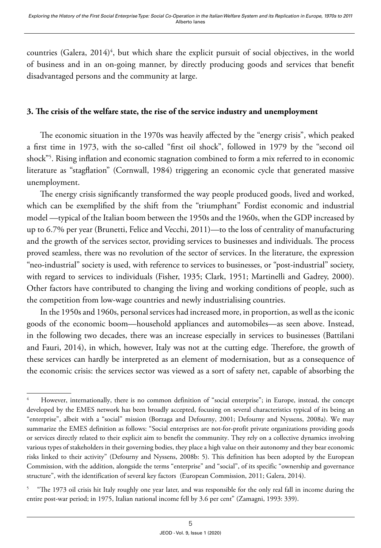countries (Galera, 2014)<sup>4</sup>, but which share the explicit pursuit of social objectives, in the world of business and in an on-going manner, by directly producing goods and services that benefit disadvantaged persons and the community at large.

#### **3. The crisis of the welfare state, the rise of the service industry and unemployment**

The economic situation in the 1970s was heavily affected by the "energy crisis", which peaked a first time in 1973, with the so-called "first oil shock", followed in 1979 by the "second oil shock"5 . Rising inflation and economic stagnation combined to form a mix referred to in economic literature as "stagflation" (Cornwall, 1984) triggering an economic cycle that generated massive unemployment.

The energy crisis significantly transformed the way people produced goods, lived and worked, which can be exemplified by the shift from the "triumphant" Fordist economic and industrial model —typical of the Italian boom between the 1950s and the 1960s, when the GDP increased by up to 6.7% per year (Brunetti, Felice and Vecchi, 2011)—to the loss of centrality of manufacturing and the growth of the services sector, providing services to businesses and individuals. The process proved seamless, there was no revolution of the sector of services. In the literature, the expression "neo-industrial" society is used, with reference to services to businesses, or "post-industrial" society, with regard to services to individuals (Fisher, 1935; Clark, 1951; Martinelli and Gadrey, 2000). Other factors have contributed to changing the living and working conditions of people, such as the competition from low-wage countries and newly industrialising countries.

In the 1950s and 1960s, personal services had increased more, in proportion, as well as the iconic goods of the economic boom—household appliances and automobiles—as seen above. Instead, in the following two decades, there was an increase especially in services to businesses (Battilani and Fauri, 2014), in which, however, Italy was not at the cutting edge. Therefore, the growth of these services can hardly be interpreted as an element of modernisation, but as a consequence of the economic crisis: the services sector was viewed as a sort of safety net, capable of absorbing the

<sup>4</sup> However, internationally, there is no common definition of "social enterprise"; in Europe, instead, the concept developed by the EMES network has been broadly accepted, focusing on several characteristics typical of its being an "enterprise", albeit with a "social" mission (Borzaga and Defourny, 2001; Defourny and Nyssens, 2008a). We may summarize the EMES definition as follows: "Social enterprises are not-for-profit private organizations providing goods or services directly related to their explicit aim to benefit the community. They rely on a collective dynamics involving various types of stakeholders in their governing bodies, they place a high value on their autonomy and they bear economic risks linked to their activity" (Defourny and Nyssens, 2008b: 5). This definition has been adopted by the European Commission, with the addition, alongside the terms "enterprise" and "social", of its specific "ownership and governance structure", with the identification of several key factors (European Commission, 2011; Galera, 2014).

<sup>&</sup>lt;sup>5</sup> "The 1973 oil crisis hit Italy roughly one year later, and was responsible for the only real fall in income during the entire post-war period; in 1975, Italian national income fell by 3.6 per cent" (Zamagni, 1993: 339).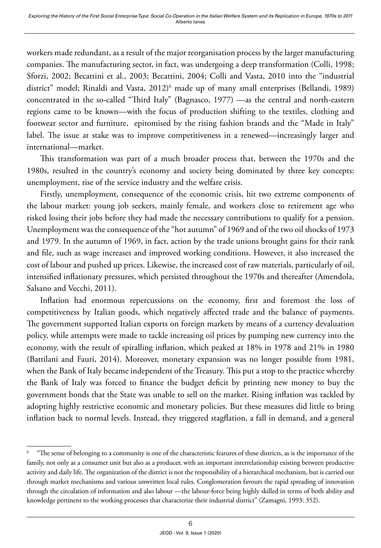workers made redundant, as a result of the major reorganisation process by the larger manufacturing companies. The manufacturing sector, in fact, was undergoing a deep transformation (Colli, 1998; Sforzi, 2002; Becattini et al., 2003; Becattini, 2004; Colli and Vasta, 2010 into the "industrial district" model; Rinaldi and Vasta, 2012)6 made up of many small enterprises (Bellandi, 1989) concentrated in the so-called "Third Italy" (Bagnasco, 1977) —as the central and north-eastern regions came to be known—with the focus of production shifting to the textiles, clothing and footwear sector and furniture, epitomised by the rising fashion brands and the "Made in Italy" label. The issue at stake was to improve competitiveness in a renewed—increasingly larger and international—market.

This transformation was part of a much broader process that, between the 1970s and the 1980s, resulted in the country's economy and society being dominated by three key concepts: unemployment, rise of the service industry and the welfare crisis.

Firstly, unemployment, consequence of the economic crisis, hit two extreme components of the labour market: young job seekers, mainly female, and workers close to retirement age who risked losing their jobs before they had made the necessary contributions to qualify for a pension. Unemployment was the consequence of the "hot autumn" of 1969 and of the two oil shocks of 1973 and 1979. In the autumn of 1969, in fact, action by the trade unions brought gains for their rank and file, such as wage increases and improved working conditions. However, it also increased the cost of labour and pushed up prices. Likewise, the increased cost of raw materials, particularly of oil, intensified inflationary pressures, which persisted throughout the 1970s and thereafter (Amendola, Salsano and Vecchi, 2011).

Inflation had enormous repercussions on the economy, first and foremost the loss of competitiveness by Italian goods, which negatively affected trade and the balance of payments. The government supported Italian exports on foreign markets by means of a currency devaluation policy, while attempts were made to tackle increasing oil prices by pumping new currency into the economy, with the result of spiralling inflation, which peaked at 18% in 1978 and 21% in 1980 (Battilani and Fauri, 2014). Moreover, monetary expansion was no longer possible from 1981, when the Bank of Italy became independent of the Treasury. This put a stop to the practice whereby the Bank of Italy was forced to finance the budget deficit by printing new money to buy the government bonds that the State was unable to sell on the market. Rising inflation was tackled by adopting highly restrictive economic and monetary policies. But these measures did little to bring inflation back to normal levels. Instead, they triggered stagflation, a fall in demand, and a general

<sup>6</sup> "The sense of belonging to a community is one of the characteristic features of these districts, as is the importance of the family, not only as a consumer unit but also as a producer, with an important interrelationship existing between productive activity and daily life. The organization of the district is not the responsibility of a hierarchical mechanism, but is carried out through market mechanisms and various unwritten local rules. Conglomeration favours the rapid spreading of innovation through the circulation of information and also labour —the labour-force being highly skilled in terms of both ability and knowledge pertinent to the working processes that characterize their industrial district" (Zamagni, 1993: 352).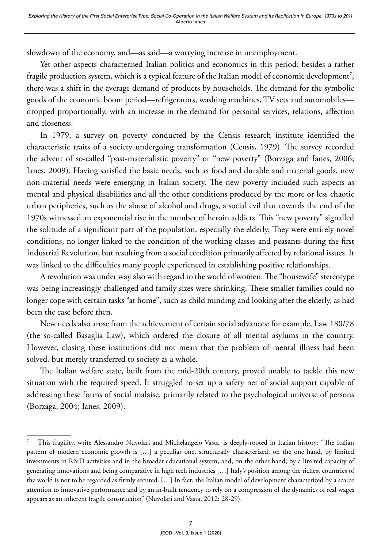slowdown of the economy, and—as said—a worrying increase in unemployment.

Yet other aspects characterised Italian politics and economics in this period: besides a rather fragile production system, which is a typical feature of the Italian model of economic development<sup>7</sup>, there was a shift in the average demand of products by households. The demand for the symbolic goods of the economic boom period—refrigerators, washing machines, TV sets and automobiles dropped proportionally, with an increase in the demand for personal services, relations, affection and closeness.

In 1979, a survey on poverty conducted by the Censis research institute identified the characteristic traits of a society undergoing transformation (Censis, 1979). The survey recorded the advent of so-called "post-materialistic poverty" or "new poverty" (Borzaga and Ianes, 2006; Ianes, 2009). Having satisfied the basic needs, such as food and durable and material goods, new non-material needs were emerging in Italian society. The new poverty included such aspects as mental and physical disabilities and all the other conditions produced by the more or less chaotic urban peripheries, such as the abuse of alcohol and drugs, a social evil that towards the end of the 1970s witnessed an exponential rise in the number of heroin addicts. This "new poverty" signalled the solitude of a significant part of the population, especially the elderly. They were entirely novel conditions, no longer linked to the condition of the working classes and peasants during the first Industrial Revolution, but resulting from a social condition primarily affected by relational issues. It was linked to the difficulties many people experienced in establishing positive relationships.

A revolution was under way also with regard to the world of women. The "housewife" stereotype was being increasingly challenged and family sizes were shrinking. These smaller families could no longer cope with certain tasks "at home", such as child minding and looking after the elderly, as had been the case before then.

New needs also arose from the achievement of certain social advances: for example, Law 180/78 (the so-called Basaglia Law), which ordered the closure of all mental asylums in the country. However, closing these institutions did not mean that the problem of mental illness had been solved, but merely transferred to society as a whole.

The Italian welfare state, built from the mid-20th century, proved unable to tackle this new situation with the required speed. It struggled to set up a safety net of social support capable of addressing these forms of social malaise, primarily related to the psychological universe of persons (Borzaga, 2004; Ianes, 2009).

<sup>7</sup> This fragility, write Alessandro Nuvolari and Michelangelo Vasta, is deeply-rooted in Italian history: "The Italian pattern of modern economic growth is […] a peculiar one, structurally characterized, on the one hand, by limited investments in R&D activities and in the broader educational system, and, on the other hand, by a limited capacity of generating innovations and being comparative in high tech industries […] Italy's position among the richest countries of the world is not to be regarded as firmly secured. […] In fact, the Italian model of development characterized by a scarce attention to innovative performance and by an in-built tendency to rely on a compression of the dynamics of real wages appears as an inherent fragile construction" (Nuvolari and Vasta, 2012: 28-29).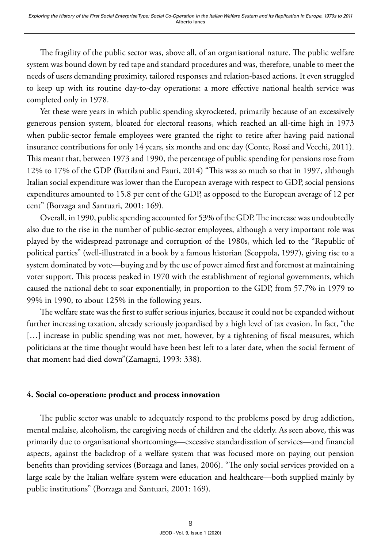The fragility of the public sector was, above all, of an organisational nature. The public welfare system was bound down by red tape and standard procedures and was, therefore, unable to meet the needs of users demanding proximity, tailored responses and relation-based actions. It even struggled to keep up with its routine day-to-day operations: a more effective national health service was completed only in 1978.

Yet these were years in which public spending skyrocketed, primarily because of an excessively generous pension system, bloated for electoral reasons, which reached an all-time high in 1973 when public-sector female employees were granted the right to retire after having paid national insurance contributions for only 14 years, six months and one day (Conte, Rossi and Vecchi, 2011). This meant that, between 1973 and 1990, the percentage of public spending for pensions rose from 12% to 17% of the GDP (Battilani and Fauri, 2014) "This was so much so that in 1997, although Italian social expenditure was lower than the European average with respect to GDP, social pensions expenditures amounted to 15.8 per cent of the GDP, as opposed to the European average of 12 per cent" (Borzaga and Santuari, 2001: 169).

Overall, in 1990, public spending accounted for 53% of the GDP. The increase was undoubtedly also due to the rise in the number of public-sector employees, although a very important role was played by the widespread patronage and corruption of the 1980s, which led to the "Republic of political parties" (well-illustrated in a book by a famous historian (Scoppola, 1997), giving rise to a system dominated by vote—buying and by the use of power aimed first and foremost at maintaining voter support. This process peaked in 1970 with the establishment of regional governments, which caused the national debt to soar exponentially, in proportion to the GDP, from 57.7% in 1979 to 99% in 1990, to about 125% in the following years.

The welfare state was the first to suffer serious injuries, because it could not be expanded without further increasing taxation, already seriously jeopardised by a high level of tax evasion. In fact, "the [...] increase in public spending was not met, however, by a tightening of fiscal measures, which politicians at the time thought would have been best left to a later date, when the social ferment of that moment had died down"(Zamagni, 1993: 338).

#### **4. Social co-operation: product and process innovation**

The public sector was unable to adequately respond to the problems posed by drug addiction, mental malaise, alcoholism, the caregiving needs of children and the elderly. As seen above, this was primarily due to organisational shortcomings—excessive standardisation of services—and financial aspects, against the backdrop of a welfare system that was focused more on paying out pension benefits than providing services (Borzaga and Ianes, 2006). "The only social services provided on a large scale by the Italian welfare system were education and healthcare—both supplied mainly by public institutions" (Borzaga and Santuari, 2001: 169).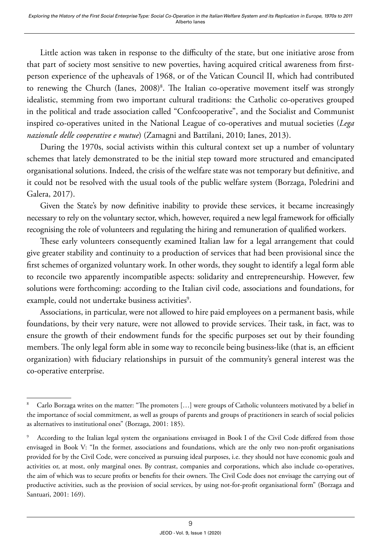Little action was taken in response to the difficulty of the state, but one initiative arose from that part of society most sensitive to new poverties, having acquired critical awareness from firstperson experience of the upheavals of 1968, or of the Vatican Council II, which had contributed to renewing the Church (Ianes, 2008)<sup>8</sup>. The Italian co-operative movement itself was strongly idealistic, stemming from two important cultural traditions: the Catholic co-operatives grouped in the political and trade association called "Confcooperative", and the Socialist and Communist inspired co-operatives united in the National League of co-operatives and mutual societies (*Lega nazionale delle cooperative e mutue*) (Zamagni and Battilani, 2010; Ianes, 2013).

During the 1970s, social activists within this cultural context set up a number of voluntary schemes that lately demonstrated to be the initial step toward more structured and emancipated organisational solutions. Indeed, the crisis of the welfare state was not temporary but definitive, and it could not be resolved with the usual tools of the public welfare system (Borzaga, Poledrini and Galera, 2017).

Given the State's by now definitive inability to provide these services, it became increasingly necessary to rely on the voluntary sector, which, however, required a new legal framework for officially recognising the role of volunteers and regulating the hiring and remuneration of qualified workers.

These early volunteers consequently examined Italian law for a legal arrangement that could give greater stability and continuity to a production of services that had been provisional since the first schemes of organized voluntary work. In other words, they sought to identify a legal form able to reconcile two apparently incompatible aspects: solidarity and entrepreneurship. However, few solutions were forthcoming: according to the Italian civil code, associations and foundations, for example, could not undertake business activities<sup>9</sup>.

Associations, in particular, were not allowed to hire paid employees on a permanent basis, while foundations, by their very nature, were not allowed to provide services. Their task, in fact, was to ensure the growth of their endowment funds for the specific purposes set out by their founding members. The only legal form able in some way to reconcile being business-like (that is, an efficient organization) with fiduciary relationships in pursuit of the community's general interest was the co-operative enterprise.

<sup>8</sup> Carlo Borzaga writes on the matter: "The promoters […] were groups of Catholic volunteers motivated by a belief in the importance of social commitment, as well as groups of parents and groups of practitioners in search of social policies as alternatives to institutional ones" (Borzaga, 2001: 185).

<sup>&</sup>lt;sup>9</sup> According to the Italian legal system the organisations envisaged in Book I of the Civil Code differed from those envisaged in Book V: "In the former, associations and foundations, which are the only two non-profit organisations provided for by the Civil Code, were conceived as pursuing ideal purposes, i.e. they should not have economic goals and activities or, at most, only marginal ones. By contrast, companies and corporations, which also include co-operatives, the aim of which was to secure profits or benefits for their owners. The Civil Code does not envisage the carrying out of productive activities, such as the provision of social services, by using not-for-profit organisational form" (Borzaga and Santuari, 2001: 169).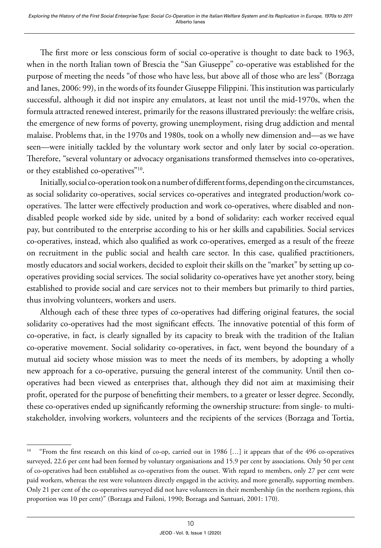The first more or less conscious form of social co-operative is thought to date back to 1963, when in the north Italian town of Brescia the "San Giuseppe" co-operative was established for the purpose of meeting the needs "of those who have less, but above all of those who are less" (Borzaga and Ianes, 2006: 99), in the words of its founder Giuseppe Filippini. This institution was particularly successful, although it did not inspire any emulators, at least not until the mid-1970s, when the formula attracted renewed interest, primarily for the reasons illustrated previously: the welfare crisis, the emergence of new forms of poverty, growing unemployment, rising drug addiction and mental malaise. Problems that, in the 1970s and 1980s, took on a wholly new dimension and—as we have seen—were initially tackled by the voluntary work sector and only later by social co-operation. Therefore, "several voluntary or advocacy organisations transformed themselves into co-operatives, or they established co-operatives"10.

Initially, social co-operation took on a number of different forms, depending on the circumstances, as social solidarity co-operatives, social services co-operatives and integrated production/work cooperatives. The latter were effectively production and work co-operatives, where disabled and nondisabled people worked side by side, united by a bond of solidarity: each worker received equal pay, but contributed to the enterprise according to his or her skills and capabilities. Social services co-operatives, instead, which also qualified as work co-operatives, emerged as a result of the freeze on recruitment in the public social and health care sector. In this case, qualified practitioners, mostly educators and social workers, decided to exploit their skills on the "market" by setting up cooperatives providing social services. The social solidarity co-operatives have yet another story, being established to provide social and care services not to their members but primarily to third parties, thus involving volunteers, workers and users.

Although each of these three types of co-operatives had differing original features, the social solidarity co-operatives had the most significant effects. The innovative potential of this form of co-operative, in fact, is clearly signalled by its capacity to break with the tradition of the Italian co-operative movement. Social solidarity co-operatives, in fact, went beyond the boundary of a mutual aid society whose mission was to meet the needs of its members, by adopting a wholly new approach for a co-operative, pursuing the general interest of the community. Until then cooperatives had been viewed as enterprises that, although they did not aim at maximising their profit, operated for the purpose of benefitting their members, to a greater or lesser degree. Secondly, these co-operatives ended up significantly reforming the ownership structure: from single- to multistakeholder, involving workers, volunteers and the recipients of the services (Borzaga and Tortia,

<sup>&</sup>quot;From the first research on this kind of co-op, carried out in 1986 [...] it appears that of the 496 co-operatives surveyed, 22.6 per cent had been formed by voluntary organisations and 15.9 per cent by associations. Only 50 per cent of co-operatives had been established as co-operatives from the outset. With regard to members, only 27 per cent were paid workers, whereas the rest were volunteers directly engaged in the activity, and more generally, supporting members. Only 21 per cent of the co-operatives surveyed did not have volunteers in their membership (in the northern regions, this proportion was 10 per cent)" (Borzaga and Failoni, 1990; Borzaga and Santuari, 2001: 170).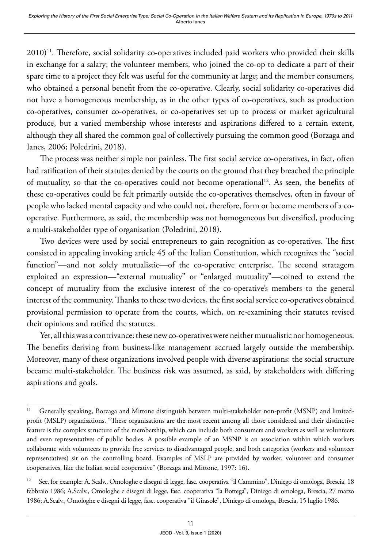$2010)^{11}$ . Therefore, social solidarity co-operatives included paid workers who provided their skills in exchange for a salary; the volunteer members, who joined the co-op to dedicate a part of their spare time to a project they felt was useful for the community at large; and the member consumers, who obtained a personal benefit from the co-operative. Clearly, social solidarity co-operatives did not have a homogeneous membership, as in the other types of co-operatives, such as production co-operatives, consumer co-operatives, or co-operatives set up to process or market agricultural produce, but a varied membership whose interests and aspirations differed to a certain extent, although they all shared the common goal of collectively pursuing the common good (Borzaga and Ianes, 2006; Poledrini, 2018).

The process was neither simple nor painless. The first social service co-operatives, in fact, often had ratification of their statutes denied by the courts on the ground that they breached the principle of mutuality, so that the co-operatives could not become operational<sup>12</sup>. As seen, the benefits of these co-operatives could be felt primarily outside the co-operatives themselves, often in favour of people who lacked mental capacity and who could not, therefore, form or become members of a cooperative. Furthermore, as said, the membership was not homogeneous but diversified, producing a multi-stakeholder type of organisation (Poledrini, 2018).

Two devices were used by social entrepreneurs to gain recognition as co-operatives. The first consisted in appealing invoking article 45 of the Italian Constitution, which recognizes the "social function"—and not solely mutualistic—of the co-operative enterprise. The second stratagem exploited an expression—"external mutuality" or "enlarged mutuality"—coined to extend the concept of mutuality from the exclusive interest of the co-operative's members to the general interest of the community. Thanks to these two devices, the first social service co-operatives obtained provisional permission to operate from the courts, which, on re-examining their statutes revised their opinions and ratified the statutes.

Yet, all this was a contrivance: these new co-operatives were neither mutualistic nor homogeneous. The benefits deriving from business-like management accrued largely outside the membership. Moreover, many of these organizations involved people with diverse aspirations: the social structure became multi-stakeholder. The business risk was assumed, as said, by stakeholders with differing aspirations and goals.

<sup>&</sup>lt;sup>11</sup> Generally speaking, Borzaga and Mittone distinguish between multi-stakeholder non-profit (MSNP) and limitedprofit (MSLP) organisations. "These organisations are the most recent among all those considered and their distinctive feature is the complex structure of the membership, which can include both consumers and workers as well as volunteers and even representatives of public bodies. A possible example of an MSNP is an association within which workers collaborate with volunteers to provide free services to disadvantaged people, and both categories (workers and volunteer representatives) sit on the controlling board. Examples of MSLP are provided by worker, volunteer and consumer cooperatives, like the Italian social cooperative" (Borzaga and Mittone, 1997: 16).

<sup>12</sup> See, for example: A. Scalv., Omologhe e disegni di legge, fasc. cooperativa "il Cammino", Diniego di omologa, Brescia, 18 febbraio 1986; A.Scalv., Omologhe e disegni di legge, fasc. cooperativa "la Bottega", Diniego di omologa, Brescia, 27 marzo 1986; A.Scalv., Omologhe e disegni di legge, fasc. cooperativa "il Girasole", Diniego di omologa, Brescia, 15 luglio 1986.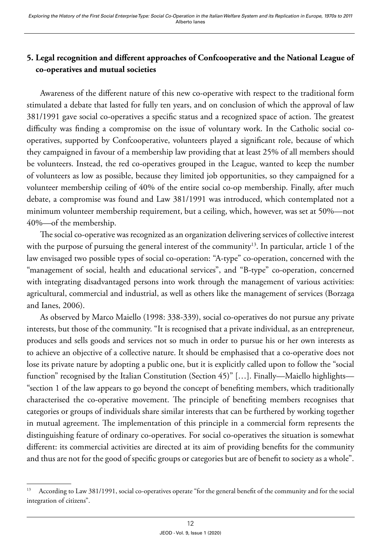## **5. Legal recognition and different approaches of Confcooperative and the National League of co-operatives and mutual societies**

Awareness of the different nature of this new co-operative with respect to the traditional form stimulated a debate that lasted for fully ten years, and on conclusion of which the approval of law 381/1991 gave social co-operatives a specific status and a recognized space of action. The greatest difficulty was finding a compromise on the issue of voluntary work. In the Catholic social cooperatives, supported by Confcooperative, volunteers played a significant role, because of which they campaigned in favour of a membership law providing that at least 25% of all members should be volunteers. Instead, the red co-operatives grouped in the League, wanted to keep the number of volunteers as low as possible, because they limited job opportunities, so they campaigned for a volunteer membership ceiling of 40% of the entire social co-op membership. Finally, after much debate, a compromise was found and Law 381/1991 was introduced, which contemplated not a minimum volunteer membership requirement, but a ceiling, which, however, was set at 50%—not 40%—of the membership.

The social co-operative was recognized as an organization delivering services of collective interest with the purpose of pursuing the general interest of the community<sup>13</sup>. In particular, article 1 of the law envisaged two possible types of social co-operation: "A-type" co-operation, concerned with the "management of social, health and educational services", and "B-type" co-operation, concerned with integrating disadvantaged persons into work through the management of various activities: agricultural, commercial and industrial, as well as others like the management of services (Borzaga and Ianes, 2006).

As observed by Marco Maiello (1998: 338-339), social co-operatives do not pursue any private interests, but those of the community. "It is recognised that a private individual, as an entrepreneur, produces and sells goods and services not so much in order to pursue his or her own interests as to achieve an objective of a collective nature. It should be emphasised that a co-operative does not lose its private nature by adopting a public one, but it is explicitly called upon to follow the "social function" recognised by the Italian Constitution (Section 45)" [...]. Finally—Maiello highlights— "section 1 of the law appears to go beyond the concept of benefiting members, which traditionally characterised the co-operative movement. The principle of benefiting members recognises that categories or groups of individuals share similar interests that can be furthered by working together in mutual agreement. The implementation of this principle in a commercial form represents the distinguishing feature of ordinary co-operatives. For social co-operatives the situation is somewhat different: its commercial activities are directed at its aim of providing benefits for the community and thus are not for the good of specific groups or categories but are of benefit to society as a whole".

<sup>&</sup>lt;sup>13</sup> According to Law 381/1991, social co-operatives operate "for the general benefit of the community and for the social integration of citizens".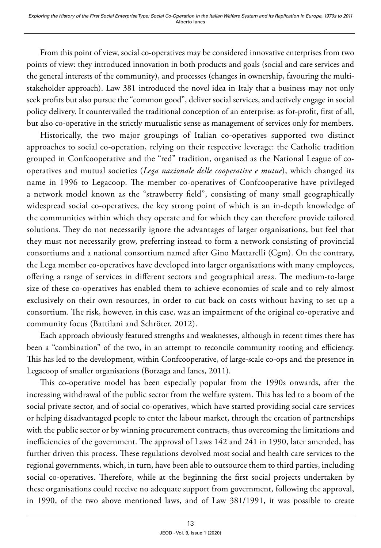From this point of view, social co-operatives may be considered innovative enterprises from two points of view: they introduced innovation in both products and goals (social and care services and the general interests of the community), and processes (changes in ownership, favouring the multistakeholder approach). Law 381 introduced the novel idea in Italy that a business may not only seek profits but also pursue the "common good", deliver social services, and actively engage in social policy delivery. It countervailed the traditional conception of an enterprise: as for-profit, first of all, but also co-operative in the strictly mutualistic sense as management of services only for members.

Historically, the two major groupings of Italian co-operatives supported two distinct approaches to social co-operation, relying on their respective leverage: the Catholic tradition grouped in Confcooperative and the "red" tradition, organised as the National League of cooperatives and mutual societies (*Lega nazionale delle cooperative e mutue*), which changed its name in 1996 to Legacoop. The member co-operatives of Confcooperative have privileged a network model known as the "strawberry field", consisting of many small geographically widespread social co-operatives, the key strong point of which is an in-depth knowledge of the communities within which they operate and for which they can therefore provide tailored solutions. They do not necessarily ignore the advantages of larger organisations, but feel that they must not necessarily grow, preferring instead to form a network consisting of provincial consortiums and a national consortium named after Gino Mattarelli (Cgm). On the contrary, the Lega member co-operatives have developed into larger organisations with many employees, offering a range of services in different sectors and geographical areas. The medium-to-large size of these co-operatives has enabled them to achieve economies of scale and to rely almost exclusively on their own resources, in order to cut back on costs without having to set up a consortium. The risk, however, in this case, was an impairment of the original co-operative and community focus (Battilani and Schröter, 2012).

Each approach obviously featured strengths and weaknesses, although in recent times there has been a "combination" of the two, in an attempt to reconcile community rooting and efficiency. This has led to the development, within Confcooperative, of large-scale co-ops and the presence in Legacoop of smaller organisations (Borzaga and Ianes, 2011).

This co-operative model has been especially popular from the 1990s onwards, after the increasing withdrawal of the public sector from the welfare system. This has led to a boom of the social private sector, and of social co-operatives, which have started providing social care services or helping disadvantaged people to enter the labour market, through the creation of partnerships with the public sector or by winning procurement contracts, thus overcoming the limitations and inefficiencies of the government. The approval of Laws 142 and 241 in 1990, later amended, has further driven this process. These regulations devolved most social and health care services to the regional governments, which, in turn, have been able to outsource them to third parties, including social co-operatives. Therefore, while at the beginning the first social projects undertaken by these organisations could receive no adequate support from government, following the approval, in 1990, of the two above mentioned laws, and of Law 381/1991, it was possible to create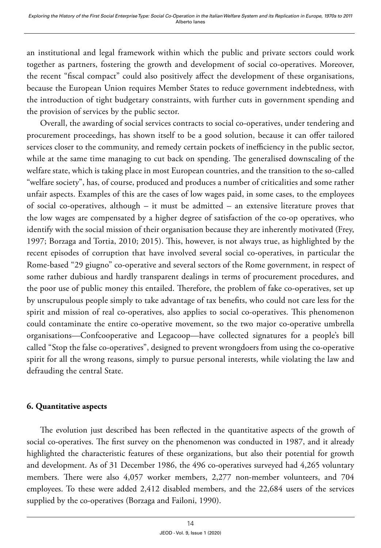an institutional and legal framework within which the public and private sectors could work together as partners, fostering the growth and development of social co-operatives. Moreover, the recent "fiscal compact" could also positively affect the development of these organisations, because the European Union requires Member States to reduce government indebtedness, with the introduction of tight budgetary constraints, with further cuts in government spending and the provision of services by the public sector.

Overall, the awarding of social services contracts to social co-operatives, under tendering and procurement proceedings, has shown itself to be a good solution, because it can offer tailored services closer to the community, and remedy certain pockets of inefficiency in the public sector, while at the same time managing to cut back on spending. The generalised downscaling of the welfare state, which is taking place in most European countries, and the transition to the so-called "welfare society", has, of course, produced and produces a number of criticalities and some rather unfair aspects. Examples of this are the cases of low wages paid, in some cases, to the employees of social co-operatives, although – it must be admitted – an extensive literature proves that the low wages are compensated by a higher degree of satisfaction of the co-op operatives, who identify with the social mission of their organisation because they are inherently motivated (Frey, 1997; Borzaga and Tortia, 2010; 2015). This, however, is not always true, as highlighted by the recent episodes of corruption that have involved several social co-operatives, in particular the Rome-based "29 giugno" co-operative and several sectors of the Rome government, in respect of some rather dubious and hardly transparent dealings in terms of procurement procedures, and the poor use of public money this entailed. Therefore, the problem of fake co-operatives, set up by unscrupulous people simply to take advantage of tax benefits, who could not care less for the spirit and mission of real co-operatives, also applies to social co-operatives. This phenomenon could contaminate the entire co-operative movement, so the two major co-operative umbrella organisations—Confcooperative and Legacoop—have collected signatures for a people's bill called "Stop the false co-operatives", designed to prevent wrongdoers from using the co-operative spirit for all the wrong reasons, simply to pursue personal interests, while violating the law and defrauding the central State.

#### **6. Quantitative aspects**

The evolution just described has been reflected in the quantitative aspects of the growth of social co-operatives. The first survey on the phenomenon was conducted in 1987, and it already highlighted the characteristic features of these organizations, but also their potential for growth and development. As of 31 December 1986, the 496 co-operatives surveyed had 4,265 voluntary members. There were also 4,057 worker members, 2,277 non-member volunteers, and 704 employees. To these were added 2,412 disabled members, and the 22,684 users of the services supplied by the co-operatives (Borzaga and Failoni, 1990).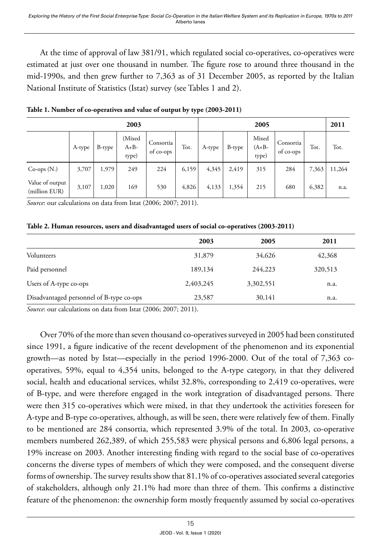At the time of approval of law 381/91, which regulated social co-operatives, co-operatives were estimated at just over one thousand in number. The figure rose to around three thousand in the mid-1990s, and then grew further to 7,363 as of 31 December 2005, as reported by the Italian National Institute of Statistics (Istat) survey (see Tables 1 and 2).

| 2003                             |        |        |                              | 2005                   |       |        |        | 2011                      |                        |       |        |
|----------------------------------|--------|--------|------------------------------|------------------------|-------|--------|--------|---------------------------|------------------------|-------|--------|
|                                  | A-type | B-type | (Mixed<br>$A + B -$<br>type) | Consortia<br>of co-ops | Tot.  | A-type | B-type | Mixed<br>$(A+B-$<br>type) | Consortia<br>of co-ops | Tot.  | Tot.   |
| $Co-ops(N.)$                     | 3,707  | 1,979  | 249                          | 224                    | 6,159 | 4,345  | 2,419  | 315                       | 284                    | 7,363 | 11,264 |
| Value of output<br>(million EUR) | 3,107  | 1,020  | 169                          | 530                    | 4,826 | 4,133  | 1,354  | 215                       | 680                    | 6,382 | n.a.   |

**Table 1. Number of co-operatives and value of output by type (2003-2011)**

*Source*: our calculations on data from Istat (2006; 2007; 2011).

|  |  | Table 2. Human resources, users and disadvantaged users of social co-operatives (2003-2011) |  |
|--|--|---------------------------------------------------------------------------------------------|--|
|  |  |                                                                                             |  |

|                                          | 2003      | 2005      | 2011    |
|------------------------------------------|-----------|-----------|---------|
| Volunteers                               | 31,879    | 34,626    | 42,368  |
| Paid personnel                           | 189,134   | 244,223   | 320,513 |
| Users of A-type co-ops                   | 2,403,245 | 3,302,551 | n.a.    |
| Disadvantaged personnel of B-type co-ops | 23,587    | 30,141    | n.a.    |

*Source*: our calculations on data from Istat (2006; 2007; 2011).

Over 70% of the more than seven thousand co-operatives surveyed in 2005 had been constituted since 1991, a figure indicative of the recent development of the phenomenon and its exponential growth—as noted by Istat—especially in the period 1996-2000. Out of the total of 7,363 cooperatives, 59%, equal to 4,354 units, belonged to the A-type category, in that they delivered social, health and educational services, whilst 32.8%, corresponding to 2,419 co-operatives, were of B-type, and were therefore engaged in the work integration of disadvantaged persons. There were then 315 co-operatives which were mixed, in that they undertook the activities foreseen for A-type and B-type co-operatives, although, as will be seen, there were relatively few of them. Finally to be mentioned are 284 consortia, which represented 3.9% of the total. In 2003, co-operative members numbered 262,389, of which 255,583 were physical persons and 6,806 legal persons, a 19% increase on 2003. Another interesting finding with regard to the social base of co-operatives concerns the diverse types of members of which they were composed, and the consequent diverse forms of ownership. The survey results show that 81.1% of co-operatives associated several categories of stakeholders, although only 21.1% had more than three of them. This confirms a distinctive feature of the phenomenon: the ownership form mostly frequently assumed by social co-operatives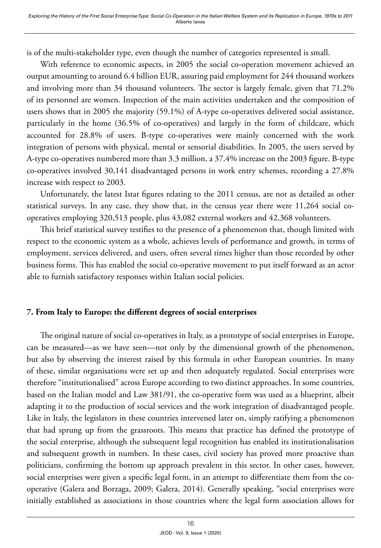is of the multi-stakeholder type, even though the number of categories represented is small.

With reference to economic aspects, in 2005 the social co-operation movement achieved an output amounting to around 6.4 billion EUR, assuring paid employment for 244 thousand workers and involving more than 34 thousand volunteers. The sector is largely female, given that 71.2% of its personnel are women. Inspection of the main activities undertaken and the composition of users shows that in 2005 the majority (59.1%) of A-type co-operatives delivered social assistance, particularly in the home (36.5% of co-operatives) and largely in the form of childcare, which accounted for 28.8% of users. B-type co-operatives were mainly concerned with the work integration of persons with physical, mental or sensorial disabilities. In 2005, the users served by A-type co-operatives numbered more than 3.3 million, a 37.4% increase on the 2003 figure. B-type co-operatives involved 30,141 disadvantaged persons in work entry schemes, recording a 27.8% increase with respect to 2003.

Unfortunately, the latest Istat figures relating to the 2011 census, are not as detailed as other statistical surveys. In any case, they show that, in the census year there were 11,264 social cooperatives employing 320,513 people, plus 43,082 external workers and 42,368 volunteers.

This brief statistical survey testifies to the presence of a phenomenon that, though limited with respect to the economic system as a whole, achieves levels of performance and growth, in terms of employment, services delivered, and users, often several times higher than those recorded by other business forms. This has enabled the social co-operative movement to put itself forward as an actor able to furnish satisfactory responses within Italian social policies.

#### **7. From Italy to Europe: the different degrees of social enterprises**

The original nature of social co-operatives in Italy, as a prototype of social enterprises in Europe, can be measured—as we have seen—not only by the dimensional growth of the phenomenon, but also by observing the interest raised by this formula in other European countries. In many of these, similar organisations were set up and then adequately regulated. Social enterprises were therefore "institutionalised" across Europe according to two distinct approaches. In some countries, based on the Italian model and Law 381/91, the co-operative form was used as a blueprint, albeit adapting it to the production of social services and the work integration of disadvantaged people. Like in Italy, the legislators in these countries intervened later on, simply ratifying a phenomenon that had sprung up from the grassroots. This means that practice has defined the prototype of the social enterprise, although the subsequent legal recognition has enabled its institutionalisation and subsequent growth in numbers. In these cases, civil society has proved more proactive than politicians, confirming the bottom up approach prevalent in this sector. In other cases, however, social enterprises were given a specific legal form, in an attempt to differentiate them from the cooperative (Galera and Borzaga, 2009; Galera, 2014). Generally speaking, "social enterprises were initially established as associations in those countries where the legal form association allows for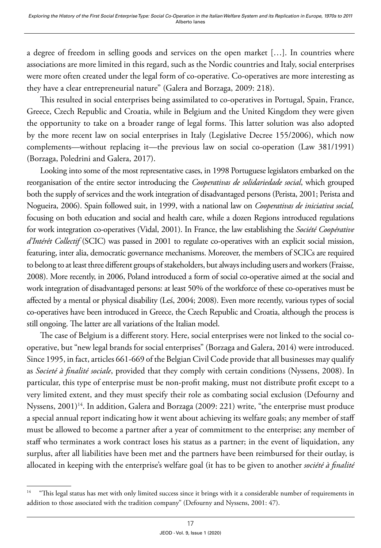a degree of freedom in selling goods and services on the open market […]. In countries where associations are more limited in this regard, such as the Nordic countries and Italy, social enterprises were more often created under the legal form of co-operative. Co-operatives are more interesting as they have a clear entrepreneurial nature" (Galera and Borzaga, 2009: 218).

This resulted in social enterprises being assimilated to co-operatives in Portugal, Spain, France, Greece, Czech Republic and Croatia, while in Belgium and the United Kingdom they were given the opportunity to take on a broader range of legal forms. This latter solution was also adopted by the more recent law on social enterprises in Italy (Legislative Decree 155/2006), which now complements—without replacing it—the previous law on social co-operation (Law 381/1991) (Borzaga, Poledrini and Galera, 2017).

Looking into some of the most representative cases, in 1998 Portuguese legislators embarked on the reorganisation of the entire sector introducing the *Cooperativas de solidariedade social*, which grouped both the supply of services and the work integration of disadvantaged persons (Perista, 2001; Perista and Nogueira, 2006). Spain followed suit, in 1999, with a national law on *Cooperativas de iniciativa social,*  focusing on both education and social and health care, while a dozen Regions introduced regulations for work integration co-operatives (Vidal, 2001). In France, the law establishing the *Société Coopérative d'Intérêt Collectif* (SCIC) was passed in 2001 to regulate co-operatives with an explicit social mission, featuring, inter alia, democratic governance mechanisms. Moreover, the members of SCICs are required to belong to at least three different groups of stakeholders, but always including users and workers (Fraisse, 2008). More recently, in 2006, Poland introduced a form of social co-operative aimed at the social and work integration of disadvantaged persons: at least 50% of the workforce of these co-operatives must be affected by a mental or physical disability (Leś, 2004; 2008). Even more recently, various types of social co-operatives have been introduced in Greece, the Czech Republic and Croatia, although the process is still ongoing. The latter are all variations of the Italian model.

The case of Belgium is a different story. Here, social enterprises were not linked to the social cooperative, but "new legal brands for social enterprises" (Borzaga and Galera, 2014) were introduced. Since 1995, in fact, articles 661-669 of the Belgian Civil Code provide that all businesses may qualify as *Societé à finalité sociale*, provided that they comply with certain conditions (Nyssens, 2008). In particular, this type of enterprise must be non-profit making, must not distribute profit except to a very limited extent, and they must specify their role as combating social exclusion (Defourny and Nyssens, 2001)<sup>14</sup>. In addition, Galera and Borzaga (2009: 221) write, "the enterprise must produce a special annual report indicating how it went about achieving its welfare goals; any member of staff must be allowed to become a partner after a year of commitment to the enterprise; any member of staff who terminates a work contract loses his status as a partner; in the event of liquidation, any surplus, after all liabilities have been met and the partners have been reimbursed for their outlay, is allocated in keeping with the enterprise's welfare goal (it has to be given to another *société à finalité* 

<sup>&</sup>lt;sup>14</sup> "This legal status has met with only limited success since it brings with it a considerable number of requirements in addition to those associated with the tradition company" (Defourny and Nyssens, 2001: 47).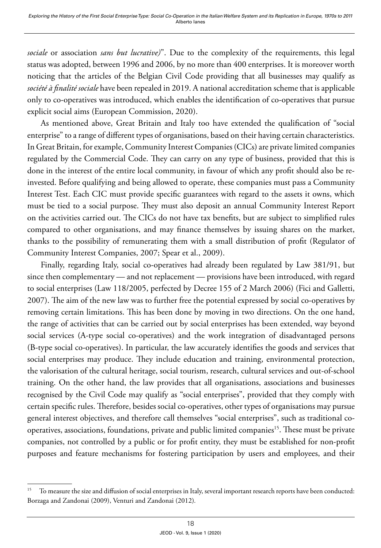*sociale* or association *sans but lucrative)*". Due to the complexity of the requirements, this legal status was adopted, between 1996 and 2006, by no more than 400 enterprises. It is moreover worth noticing that the articles of the Belgian Civil Code providing that all businesses may qualify as *société à finalité sociale* have been repealed in 2019. A national accreditation scheme that is applicable only to co-operatives was introduced, which enables the identification of co-operatives that pursue explicit social aims (European Commission, 2020).

As mentioned above, Great Britain and Italy too have extended the qualification of "social enterprise" to a range of different types of organisations, based on their having certain characteristics. In Great Britain, for example, Community Interest Companies (CICs) are private limited companies regulated by the Commercial Code. They can carry on any type of business, provided that this is done in the interest of the entire local community, in favour of which any profit should also be reinvested. Before qualifying and being allowed to operate, these companies must pass a Community Interest Test. Each CIC must provide specific guarantees with regard to the assets it owns, which must be tied to a social purpose. They must also deposit an annual Community Interest Report on the activities carried out. The CICs do not have tax benefits, but are subject to simplified rules compared to other organisations, and may finance themselves by issuing shares on the market, thanks to the possibility of remunerating them with a small distribution of profit (Regulator of Community Interest Companies, 2007; Spear et al., 2009).

Finally, regarding Italy, social co-operatives had already been regulated by Law 381/91, but since then complementary — and not replacement — provisions have been introduced, with regard to social enterprises (Law 118/2005, perfected by Decree 155 of 2 March 2006) (Fici and Galletti, 2007). The aim of the new law was to further free the potential expressed by social co-operatives by removing certain limitations. This has been done by moving in two directions. On the one hand, the range of activities that can be carried out by social enterprises has been extended, way beyond social services (A-type social co-operatives) and the work integration of disadvantaged persons (B-type social co-operatives). In particular, the law accurately identifies the goods and services that social enterprises may produce. They include education and training, environmental protection, the valorisation of the cultural heritage, social tourism, research, cultural services and out-of-school training. On the other hand, the law provides that all organisations, associations and businesses recognised by the Civil Code may qualify as "social enterprises", provided that they comply with certain specific rules. Therefore, besides social co-operatives, other types of organisations may pursue general interest objectives, and therefore call themselves "social enterprises", such as traditional cooperatives, associations, foundations, private and public limited companies<sup>15</sup>. These must be private companies, not controlled by a public or for profit entity, they must be established for non-profit purposes and feature mechanisms for fostering participation by users and employees, and their

<sup>&</sup>lt;sup>15</sup> To measure the size and diffusion of social enterprises in Italy, several important research reports have been conducted: Borzaga and Zandonai (2009), Venturi and Zandonai (2012)*.*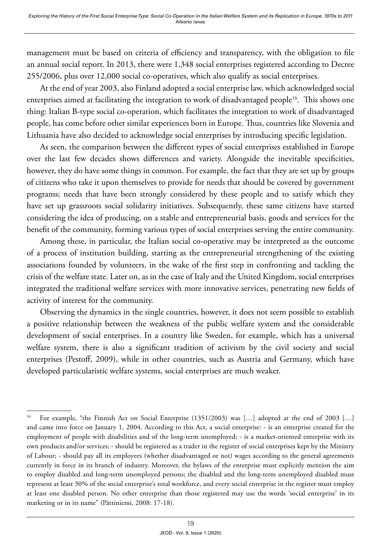management must be based on criteria of efficiency and transparency, with the obligation to file an annual social report. In 2013, there were 1,348 social enterprises registered according to Decree 255/2006, plus over 12,000 social co-operatives, which also qualify as social enterprises.

At the end of year 2003, also Finland adopted a social enterprise law, which acknowledged social enterprises aimed at facilitating the integration to work of disadvantaged people<sup>16</sup>. This shows one thing: Italian B-type social co-operation, which facilitates the integration to work of disadvantaged people, has come before other similar experiences born in Europe. Thus, countries like Slovenia and Lithuania have also decided to acknowledge social enterprises by introducing specific legislation.

As seen, the comparison between the different types of social enterprises established in Europe over the last few decades shows differences and variety. Alongside the inevitable specificities, however, they do have some things in common. For example, the fact that they are set up by groups of citizens who take it upon themselves to provide for needs that should be covered by government programs; needs that have been strongly considered by these people and to satisfy which they have set up grassroots social solidarity initiatives. Subsequently, these same citizens have started considering the idea of producing, on a stable and entrepreneurial basis, goods and services for the benefit of the community, forming various types of social enterprises serving the entire community.

Among these, in particular, the Italian social co-operative may be interpreted as the outcome of a process of institution building, starting as the entrepreneurial strengthening of the existing associations founded by volunteers, in the wake of the first step in confronting and tackling the crisis of the welfare state. Later on, as in the case of Italy and the United Kingdom, social enterprises integrated the traditional welfare services with more innovative services, penetrating new fields of activity of interest for the community.

Observing the dynamics in the single countries, however, it does not seem possible to establish a positive relationship between the weakness of the public welfare system and the considerable development of social enterprises. In a country like Sweden, for example, which has a universal welfare system, there is also a significant tradition of activism by the civil society and social enterprises (Pestoff, 2009), while in other countries, such as Austria and Germany, which have developed particularistic welfare systems, social enterprises are much weaker.

<sup>&</sup>lt;sup>16</sup> For example, "the Finnish Act on Social Enterprise (1351/2003) was [...] adopted at the end of 2003 [...] and came into force on January 1, 2004. According to this Act, a social enterprise: - is an enterprise created for the employment of people with disabilities and of the long-term unemployed; - is a market-oriented enterprise with its own products and/or services; - should be registered as a trader in the register of social enterprises kept by the Ministry of Labour; - should pay all its employees (whether disadvantaged or not) wages according to the general agreements currently in force in its branch of industry. Moreover, the bylaws of the enterprise must explicitly mention the aim to employ disabled and long-term unemployed persons; the disabled and the long-term unemployed disabled must represent at least 30% of the social enterprise's total workforce, and every social enterprise in the register must employ at least one disabled person. No other enterprise than those registered may use the words 'social enterprise' in its marketing or in its name" (Pättiniemi, 2008: 17-18).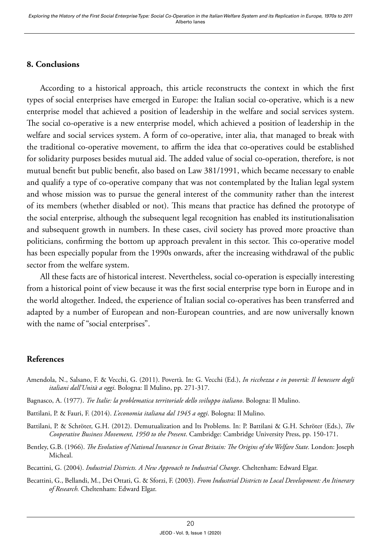#### **8. Conclusions**

According to a historical approach, this article reconstructs the context in which the first types of social enterprises have emerged in Europe: the Italian social co-operative, which is a new enterprise model that achieved a position of leadership in the welfare and social services system. The social co-operative is a new enterprise model, which achieved a position of leadership in the welfare and social services system. A form of co-operative, inter alia, that managed to break with the traditional co-operative movement, to affirm the idea that co-operatives could be established for solidarity purposes besides mutual aid. The added value of social co-operation, therefore, is not mutual benefit but public benefit, also based on Law 381/1991, which became necessary to enable and qualify a type of co-operative company that was not contemplated by the Italian legal system and whose mission was to pursue the general interest of the community rather than the interest of its members (whether disabled or not). This means that practice has defined the prototype of the social enterprise, although the subsequent legal recognition has enabled its institutionalisation and subsequent growth in numbers. In these cases, civil society has proved more proactive than politicians, confirming the bottom up approach prevalent in this sector. This co-operative model has been especially popular from the 1990s onwards, after the increasing withdrawal of the public sector from the welfare system.

All these facts are of historical interest. Nevertheless, social co-operation is especially interesting from a historical point of view because it was the first social enterprise type born in Europe and in the world altogether. Indeed, the experience of Italian social co-operatives has been transferred and adapted by a number of European and non-European countries, and are now universally known with the name of "social enterprises".

#### **References**

- Amendola, N., Salsano, F. & Vecchi, G. (2011). Povertà. In: G. Vecchi (Ed.), *In ricchezza e in povertà: Il benessere degli italiani dall'Unità a oggi*. Bologna: Il Mulino, pp. 271-317.
- Bagnasco, A. (1977). *Tre Italie: la problematica territoriale dello sviluppo italiano*. Bologna: Il Mulino.
- Battilani, P. & Fauri, F. (2014). *L'economia italiana dal 1945 a oggi*. Bologna: Il Mulino.
- Battilani, P. & Schröter, G.H. (2012). Demutualization and Its Problems. In: P. Battilani & G.H. Schröter (Eds.), *The Cooperative Business Movement, 1950 to the Present*. Cambridge: Cambridge University Press, pp. 150-171.
- Bentley, G.B. (1966). *The Evolution of National Insurance in Great Britain: The Origins of the Welfare State.* London: Joseph Micheal.
- Becattini, G. (2004). *Industrial Districts. A New Approach to Industrial Change*. Cheltenham: Edward Elgar.
- Becattini, G., Bellandi, M., Dei Ottati, G. & Sforzi, F. (2003). *From Industrial Districts to Local Development: An Itinerary of Research.* Cheltenham: Edward Elgar.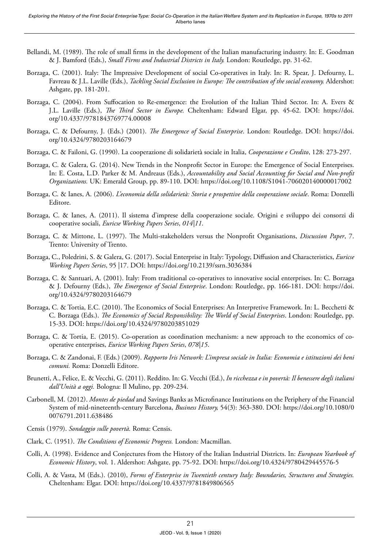- Bellandi, M. (1989). The role of small firms in the development of the Italian manufacturing industry. In: E. Goodman & J. Bamford (Eds.), *Small Firms and Industrial Districts in Italy.* London: Routledge, pp. 31-62.
- Borzaga, C. (2001). Italy: The Impressive Development of social Co-operatives in Italy. In: R. Spear, J. Defourny, L. Favreau & J.L. Laville (Eds.), *Tackling Social Exclusion in Europe: The contribution of the social economy.* Aldershot: Ashgate, pp. 181-201.
- Borzaga, C. (2004). From Suffocation to Re-emergence: the Evolution of the Italian Third Sector. In: A. Evers & J.L. Laville (Eds.), *The Third Sector in Europe.* Cheltenham: Edward Elgar, pp. 45-62. DOI: [https://doi.](https://doi.org/10.4337/9781843769774.00008) [org/10.4337/9781843769774.00008](https://doi.org/10.4337/9781843769774.00008)
- Borzaga, C. & Defourny, J. (Eds.) (2001). *The Emergence of Social Enterprise*. London: Routledge. DOI: [https://doi.](https://doi.org/10.4324/9780203164679) [org/10.4324/9780203164679](https://doi.org/10.4324/9780203164679)
- Borzaga, C. & Failoni, G. (1990). La cooperazione di solidarietà sociale in Italia, *Cooperazione e Credito*, 128: 273-297.
- Borzaga, C. & Galera, G. (2014). New Trends in the Nonprofit Sector in Europe: the Emergence of Social Enterprises. In: E. Costa, L.D. Parker & M. Andreaus (Eds.), *Accountability and Social Accounting for Social and Non-profit Organizations.* UK: Emerald Group, pp. 89-110. DOI:<https://doi.org/10.1108/S1041-706020140000017002>
- Borzaga, C. & Ianes, A. (2006). *L'economia della solidarietà: Storia e prospettive della cooperazione sociale*. Roma: Donzelli Editore.
- Borzaga, C. & Ianes, A. (2011). Il sistema d'imprese della cooperazione sociale. Origini e sviluppo dei consorzi di cooperative sociali, *Euricse Working Papers Series*, *014|11*.
- Borzaga, C. & Mittone, L. (1997). The Multi-stakeholders versus the Nonprofit Organisations, *Discussion Paper*, 7. Trento: University of Trento.
- Borzaga, C., Poledrini, S. & Galera, G. (2017). Social Enterprise in Italy: Typology, Diffusion and Characteristics, *Euricse Working Papers Series*, 95 |17. DOI: <https://doi.org/10.2139/ssrn.3036384>
- Borzaga, C. & Santuari, A. (2001). Italy: From traditional co-operatives to innovative social enterprises. In: C. Borzaga & J. Defourny (Eds.), *The Emergence of Social Enterprise*. London: Routledge, pp. 166-181. DOI: [https://doi.](https://doi.org/10.4324/9780203164679) [org/10.4324/9780203164679](https://doi.org/10.4324/9780203164679)
- Borzaga, C. & Tortia, E.C. (2010). The Economics of Social Enterprises: An Interpretive Framework. In: L. Becchetti & C. Borzaga (Eds.). *The Economics of Social Responsibility: The World of Social Enterprises*. London: Routledge, pp. 15-33. DOI:<https://doi.org/10.4324/9780203851029>
- Borzaga, C. & Tortia, E. (2015). Co-operation as coordination mechanism: a new approach to the economics of cooperative enterprises, *Euricse Working Papers Series*, *078|15*.
- Borzaga, C. & Zandonai, F. (Eds.) (2009). *Rapporto Iris Network: L'impresa sociale in Italia: Economia e istituzioni dei beni comuni.* Roma: Donzelli Editore.
- Brunetti, A., Felice, E. & Vecchi, G. (2011). Reddito. In: G. Vecchi (Ed.), *In ricchezza e in povertà: Il benessere degli italiani dall'Unità a oggi.* Bologna: Il Mulino, pp. 209-234.
- Carbonell, M. (2012). *Montes de piedad* and Savings Banks as Microfinance Institutions on the Periphery of the Financial System of mid-nineteenth-century Barcelona, *Business History,* 54(3): 363-380. DOI: [https://doi.org/10.1080/0](https://doi.org/10.1080/00076791.2011.638486) [0076791.2011.638486](https://doi.org/10.1080/00076791.2011.638486)
- Censis (1979). *Sondaggio sulle povertà.* Roma: Censis.
- Clark, C. (1951). *The Conditions of Economic Progress.* London: Macmillan.
- Colli, A. (1998). Evidence and Conjectures from the History of the Italian Industrial Districts. In: *European Yearbook of Economic History*, vol. 1. Aldershot: Ashgate, pp. 75-92. DOI: <https://doi.org/10.4324/9780429445576-5>
- Colli, A. & Vasta, M (Eds.). (2010), *Forms of Enterprise in Twentieth century Italy: Boundaries, Structures and Strategies.* Cheltenham: Elgar. DOI: <https://doi.org/10.4337/9781849806565>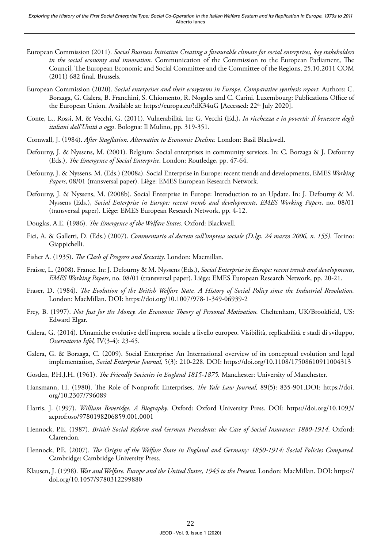- European Commission (2011). *Social Business Initiative Creating a favourable climate for social enterprises, key stakeholders in the social economy and innovation.* Communication of the Commission to the European Parliament, The Council, The European Economic and Social Committee and the Committee of the Regions, 25.10.2011 COM (2011) 682 final. Brussels.
- European Commission (2020). *Social enterprises and their ecosystems in Europe. Comparative synthesis report*. Authors: C. Borzaga, G. Galera, B. Franchini, S. Chiomento, R. Nogales and C. Carini. Luxembourg: Publications Office of the European Union. Available at: <https://europa.eu/!dK34uG> [Accessed: 22<sup>th</sup> July 2020].
- Conte, L., Rossi, M. & Vecchi, G. (2011). Vulnerabilità. In: G. Vecchi (Ed.), *In ricchezza e in povertà: Il benessere degli italiani dall'Unità a oggi*. Bologna: Il Mulino, pp. 319-351.
- Cornwall, J. (1984). *After Stagflation. Alternative to Economic Decline.* London: Basil Blackwell.
- Defourny, J. & Nyssens, M. (2001). Belgium: Social enterprises in community services. In: C. Borzaga & J. Defourny (Eds.), *The Emergence of Social Enterprise*. London: Routledge, pp. 47-64.
- Defourny, J. & Nyssens, M. (Eds.) (2008a). Social Enterprise in Europe: recent trends and developments, EMES *Working Papers*, 08/01 (transversal paper). Liège: EMES European Research Network.
- Defourny, J. & Nyssens, M. (2008b). Social Enterprise in Europe: Introduction to an Update. In: J. Defourny & M. Nyssens (Eds.), *Social Enterprise in Europe: recent trends and developments*, *EMES Working Papers*, no. 08/01 (transversal paper). Liège: EMES European Research Network, pp. 4-12.
- Douglas, A.E. (1986). *The Emergence of the Welfare States*. Oxford: Blackwell.
- Fici, A. & Galletti, D. (Eds.) (2007). *Commentario al decreto sull'impresa sociale (D.lgs. 24 marzo 2006, n. 155)*. Torino: Giappichelli.
- Fisher A. (1935). *The Clash of Progress and Security*. London: Macmillan.
- Fraisse, L. (2008). France. In: J. Defourny & M. Nyssens (Eds.), *Social Enterprise in Europe: recent trends and developments*, *EMES Working Papers*, no. 08/01 (transversal paper). Liège: EMES European Research Network, pp. 20-21.
- Fraser, D. (1984). *The Evolution of the British Welfare State. A History of Social Policy since the Industrial Revolution.* London: MacMillan. DOI:<https://doi.org/10.1007/978-1-349-06939-2>
- Frey, B. (1997). *Not Just for the Money. An Economic Theory of Personal Motivation.* Cheltenham, UK/Brookfield, US: Edward Elgar.
- Galera, G. (2014). Dinamiche evolutive dell'impresa sociale a livello europeo. Visibilità, replicabilità e stadi di sviluppo, *Osservatorio Isfol,* IV(3-4): 23-45.
- Galera, G. & Borzaga, C. (2009). Social Enterprise: An International overview of its conceptual evolution and legal implementation, *Social Enterprise Journal,* 5(3): 210-228. DOI: <https://doi.org/10.1108/17508610911004313>
- Gosden, P.H.J.H. (1961). *The Friendly Societies in England 1815-1875.* Manchester: University of Manchester.
- Hansmann, H. (1980). The Role of Nonprofit Enterprises, *The Yale Law Journal,* 89(5): 835-901.DOI: [https://doi.](https://doi.org/10.2307/796089) [org/10.2307/796089](https://doi.org/10.2307/796089)
- Harris, J. (1997). *William Beveridge. A Biography*. Oxford: Oxford University Press. DOI: [https://doi.org/10.1093/](https://doi.org/10.1093/acprof:oso/9780198206859.001.0001) [acprof:oso/9780198206859.001.0001](https://doi.org/10.1093/acprof:oso/9780198206859.001.0001)
- Hennock, P.E. (1987). *British Social Reform and German Precedents: the Case of Social Insurance: 1880-1914*. Oxford: Clarendon.
- Hennock, P.E. (2007). *The Origin of the Welfare State in England and Germany: 1850-1914: Social Policies Compared.* Cambridge: Cambridge University Press.
- Klausen, J. (1998). *War and Welfare. Europe and the United States, 1945 to the Present*. London: MacMillan. DOI: [https://](https://doi.org/10.1057/9780312299880) [doi.org/10.1057/9780312299880](https://doi.org/10.1057/9780312299880)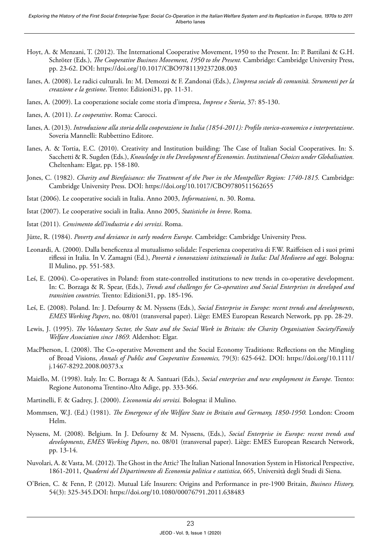- Hoyt, A. & Menzani, T. (2012). The International Cooperative Movement, 1950 to the Present. In: P. Battilani & G.H. Schröter (Eds.), *The Cooperative Business Movement, 1950 to the Present.* Cambridge: Cambridge University Press, pp. 23-62. DOI: <https://doi.org/10.1017/CBO9781139237208.003>
- Ianes, A. (2008). Le radici culturali. In: M. Demozzi & F. Zandonai (Eds.), *L'impresa sociale di comunità. Strumenti per la creazione e la gestione*. Trento: Edizioni31, pp. 11-31.
- Ianes, A. (2009). La cooperazione sociale come storia d'impresa, *Imprese e Storia*, 37: 85-130.
- Ianes, A. (2011). *Le cooperative*. Roma: Carocci.
- Ianes, A. (2013). *Introduzione alla storia della cooperazione in Italia (1854-2011): Profilo storico-economico e interpretazione*. Soveria Mannelli: Rubbettino Editore.
- Ianes, A. & Tortia, E.C. (2010). Creativity and Institution building: The Case of Italian Social Cooperatives. In: S. Sacchetti & R. Sugden (Eds.), *Knowledge in the Development of Economies. Institutional Choices under Globalisation.* Cheltenham: Elgar, pp. 158-180.
- Jones, C. (1982). *Charity and Bienfaisance: the Treatment of the Poor in the Montpellier Region: 1740-1815.* Cambridge: Cambridge University Press. DOI: <https://doi.org/10.1017/CBO9780511562655>
- Istat (2006). Le cooperative sociali in Italia. Anno 2003, *Informazioni*, n. 30. Roma.
- Istat (2007). Le cooperative sociali in Italia. Anno 2005, *Statistiche in breve*. Roma.
- Istat (2011). *Censimento dell'industria e dei servizi*. Roma.
- Jütte, R. (1984). *Poverty and deviance in early modern Europe.* Cambridge: Cambridge University Press.
- Leonardi, A. (2000). Dalla beneficenza al mutualismo solidale: l'esperienza cooperativa di F.W. Raiffeisen ed i suoi primi riflessi in Italia. In V. Zamagni (Ed.), *Povertà e innovazioni istituzionali in Italia: Dal Medioevo ad oggi.* Bologna: Il Mulino, pp. 551-583.
- Leś, E. (2004). Co-operatives in Poland: from state-controlled institutions to new trends in co-operative development. In: C. Borzaga & R. Spear, (Eds.), *Trends and challenges for Co-operatives and Social Enterprises in developed and transition countries.* Trento: Edizioni31, pp. 185-196.
- Leś, E. (2008). Poland. In: J. Defourny & M. Nyssens (Eds.), *Social Enterprise in Europe: recent trends and developments*, *EMES Working Papers*, no. 08/01 (transversal paper). Liège: EMES European Research Network, pp. pp. 28-29.
- Lewis, J. (1995). *The Voluntary Sector, the State and the Social Work in Britain: the Charity Organisation Society/Family Welfare Association since 1869.* Aldershot: Elgar.
- MacPherson, I. (2008). The Co-operative Movement and the Social Economy Traditions: Reflections on the Mingling of Broad Visions, *Annals of Public and Cooperative Economics,* 79(3): 625-642. DOI: [https://doi.org/10.1111/](https://doi.org/10.1111/j.1467-8292.2008.00373.x) [j.1467-8292.2008.00373.x](https://doi.org/10.1111/j.1467-8292.2008.00373.x)
- Maiello, M. (1998). Italy. In: C. Borzaga & A. Santuari (Eds.), *Social enterprises and new employment in Europe.* Trento: Regione Autonoma Trentino-Alto Adige, pp. 333-366.
- Martinelli, F. & Gadrey, J. (2000). *L'economia dei servizi.* Bologna: il Mulino.
- Mommsen, W.J. (Ed.) (1981). *The Emergence of the Welfare State in Britain and Germany, 1850-1950.* London: Croom Helm.
- Nyssens, M. (2008). Belgium. In J. Defourny & M. Nyssens, (Eds.), *Social Enterprise in Europe: recent trends and developments*, *EMES Working Papers*, no. 08/01 (transversal paper). Liège: EMES European Research Network, pp. 13-14.
- Nuvolari, A. & Vasta, M. (2012). The Ghost in the Attic? The Italian National Innovation System in Historical Perspective, 1861-2011, *Quaderni del Dipartimento di Economia politica e statistica*, 665, Università degli Studi di Siena.
- O'Brien, C. & Fenn, P. (2012). Mutual Life Insurers: Origins and Performance in pre-1900 Britain, *Business History,*  54(3): 325-345.DOI: <https://doi.org/10.1080/00076791.2011.638483>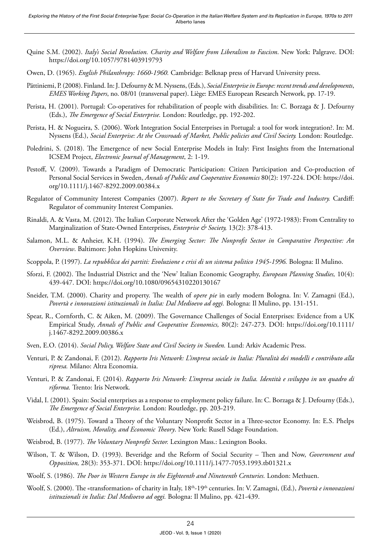- Quine S.M. (2002). *Italy's Social Revolution. Charity and Welfare from Liberalism to Fascism*. New York: Palgrave. DOI: <https://doi.org/10.1057/9781403919793>
- Owen, D. (1965). *English Philanthropy: 1660-1960.* Cambridge: Belknap press of Harvard University press.
- Pättiniemi, P. (2008). Finland. In: J. Defourny & M. Nyssens, (Eds.), *Social Enterprise in Europe: recent trends and developments*, *EMES Working Papers*, no. 08/01 (transversal paper). Liège: EMES European Research Network, pp. 17-19.
- Perista, H. (2001). Portugal: Co-operatives for rehabilitation of people with disabilities. In: C. Borzaga & J. Defourny (Eds.), *The Emergence of Social Enterprise.* London: Routledge, pp. 192-202.
- Perista, H. & Nogueira, S. (2006). Work Integration Social Enterprises in Portugal: a tool for work integration?. In: M. Nyssens (Ed.), *Social Enterprise: At the Crossroads of Market, Public policies and Civil Society.* London: Routledge.
- Poledrini, S. (2018). The Emergence of new Social Enterprise Models in Italy: First Insights from the International ICSEM Project, *Electronic Journal of Management*, 2: 1-19.
- Pestoff, V. (2009). Towards a Paradigm of Democratic Participation: Citizen Participation and Co-production of Personal Social Services in Sweden, *Annals of Public and Cooperative Economics* 80(2): 197-224. DOI: [https://doi.](https://doi.org/10.1111/j.1467-8292.2009.00384.x) [org/10.1111/j.1467-8292.2009.00384.x](https://doi.org/10.1111/j.1467-8292.2009.00384.x)
- Regulator of Community Interest Companies (2007). *Report to the Secretary of State for Trade and Industry.* Cardiff: Regulator of community Interest Companies.
- Rinaldi, A. & Vasta, M. (2012). The Italian Corporate Network After the 'Golden Age' (1972-1983): From Centrality to Marginalization of State-Owned Enterprises, *Enterprise & Society,* 13(2): 378-413.
- Salamon, M.L. & Anheier, K.H. (1994). *The Emerging Sector: The Nonprofit Sector in Comparative Perspective: An Overview*. Baltimore: John Hopkins University.
- Scoppola, P. (1997). *La repubblica dei partiti: Evoluzione e crisi di un sistema politico 1945-1996.* Bologna: Il Mulino.
- Sforzi, F. (2002). The Industrial District and the 'New' Italian Economic Geography, *European Planning Studies,* 10(4): 439-447. DOI:<https://doi.org/10.1080/09654310220130167>
- Sneider, T.M. (2000). Charity and property. The wealth of *opere pie* in early modern Bologna. In: V. Zamagni (Ed.), *Povertà e innovazioni istituzionali in Italia: Dal Medioevo ad oggi.* Bologna: Il Mulino, pp. 131-151.
- Spear, R., Cornforth, C. & Aiken, M. (2009). The Governance Challenges of Social Enterprises: Evidence from a UK Empirical Study, *Annals of Public and Cooperative Economics,* 80(2): 247-273. DOI: [https://doi.org/10.1111/](https://doi.org/10.1111/j.1467-8292.2009.00386.x) [j.1467-8292.2009.00386.x](https://doi.org/10.1111/j.1467-8292.2009.00386.x)
- Sven, E.O. (2014). *Social Policy, Welfare State and Civil Society in Sweden.* Lund: Arkiv Academic Press.
- Venturi, P. & Zandonai, F. (2012). *Rapporto Iris Network: L'impresa sociale in Italia: Pluralità dei modelli e contributo alla ripresa.* Milano: Altra Economia.
- Venturi, P. & Zandonai, F. (2014). *Rapporto Iris Network: L'impresa sociale in Italia. Identità e sviluppo in un quadro di riforma.* Trento: Iris Network*.*
- Vidal, I. (2001). Spain: Social enterprises as a response to employment policy failure. In: C. Borzaga & J. Defourny (Eds.), *The Emergence of Social Enterprise.* London: Routledge, pp. 203-219.
- Weisbrod, B. (1975). Toward a Theory of the Voluntary Nonprofit Sector in a Three-sector Economy. In: E.S. Phelps (Ed.), *Altruism, Morality, and Economic Theory*. New York: Rusell Sdage Foundation.
- Weisbrod, B. (1977). *The Voluntary Nonprofit Sector.* Lexington Mass.: Lexington Books.
- Wilson, T. & Wilson, D. (1993). Beveridge and the Reform of Social Security Then and Now, *Government and Opposition,* 28(3): 353-371. DOI:<https://doi.org/10.1111/j.1477-7053.1993.tb01321.x>
- Woolf, S. (1986). *The Poor in Western Europe in the Eighteenth and Nineteenth Centuries.* London: Methuen.
- Woolf, S. (2000). The «transformation» of charity in Italy, 18th-19th centuries. In: V. Zamagni, (Ed.), *Povertà e innovazioni istituzionali in Italia: Dal Medioevo ad oggi.* Bologna: Il Mulino, pp. 421-439.